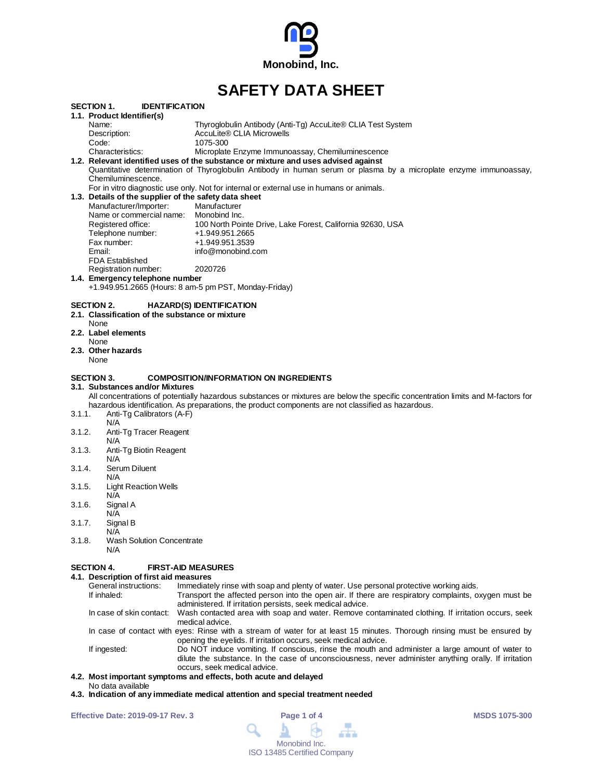

# **SAFETY DATA SHEET**

|        |                                                       | <u>.</u><br>PAIA VIILLI                                                                                                          |
|--------|-------------------------------------------------------|----------------------------------------------------------------------------------------------------------------------------------|
|        | SECTION 1.<br><b>IDENTIFICATION</b>                   |                                                                                                                                  |
|        | 1.1. Product Identifier(s)                            |                                                                                                                                  |
|        | Name:                                                 | Thyroglobulin Antibody (Anti-Tg) AccuLite® CLIA Test System                                                                      |
|        | Description:                                          | AccuLite® CLIA Microwells                                                                                                        |
|        | Code:                                                 | 1075-300                                                                                                                         |
|        | Characteristics:                                      | Microplate Enzyme Immunoassay, Chemiluminescence                                                                                 |
|        |                                                       | 1.2. Relevant identified uses of the substance or mixture and uses advised against                                               |
|        |                                                       | Quantitative determination of Thyroglobulin Antibody in human serum or plasma by a microplate enzyme immunoassay,                |
|        | Chemiluminescence.                                    |                                                                                                                                  |
|        |                                                       | For in vitro diagnostic use only. Not for internal or external use in humans or animals.                                         |
|        | 1.3. Details of the supplier of the safety data sheet |                                                                                                                                  |
|        | Manufacturer/Importer:                                | Manufacturer                                                                                                                     |
|        | Name or commercial name:                              | Monobind Inc.                                                                                                                    |
|        | Registered office:                                    | 100 North Pointe Drive, Lake Forest, California 92630, USA                                                                       |
|        | Telephone number:                                     | +1.949.951.2665                                                                                                                  |
|        | Fax number:                                           | +1.949.951.3539                                                                                                                  |
|        | Email:                                                | info@monobind.com                                                                                                                |
|        | <b>FDA Established</b>                                |                                                                                                                                  |
|        | Registration number:                                  | 2020726                                                                                                                          |
|        | 1.4. Emergency telephone number                       |                                                                                                                                  |
|        |                                                       | +1.949.951.2665 (Hours: 8 am-5 pm PST, Monday-Friday)                                                                            |
|        | None<br>2.3. Other hazards<br>None                    |                                                                                                                                  |
|        |                                                       |                                                                                                                                  |
|        | <b>SECTION 3.</b>                                     | <b>COMPOSITION/INFORMATION ON INGREDIENTS</b>                                                                                    |
|        | 3.1. Substances and/or Mixtures                       | All concentrations of potentially hazardous substances or mixtures are below the specific concentration limits and M-factors for |
|        |                                                       | hazardous identification. As preparations, the product components are not classified as hazardous.                               |
| 3.1.1. | Anti-Tg Calibrators (A-F)                             |                                                                                                                                  |
|        | N/A                                                   |                                                                                                                                  |
| 3.1.2. | Anti-Tg Tracer Reagent                                |                                                                                                                                  |
|        | N/A                                                   |                                                                                                                                  |
| 3.1.3. | Anti-Tg Biotin Reagent                                |                                                                                                                                  |
|        | N/A                                                   |                                                                                                                                  |
| 3.1.4. | Serum Diluent                                         |                                                                                                                                  |
|        | N/A                                                   |                                                                                                                                  |
| 3.1.5. | <b>Light Reaction Wells</b>                           |                                                                                                                                  |
|        | N/A                                                   |                                                                                                                                  |
| 3.1.6. | Signal A                                              |                                                                                                                                  |
|        | N/A                                                   |                                                                                                                                  |
| 3.1.7. | Signal B                                              |                                                                                                                                  |
|        | N/A                                                   |                                                                                                                                  |
| 3.1.8. | <b>Wash Solution Concentrate</b>                      |                                                                                                                                  |
|        | N/A                                                   |                                                                                                                                  |
|        |                                                       |                                                                                                                                  |
|        | SECTION 4.                                            | <b>FIRST-AID MEASURES</b>                                                                                                        |
|        | 4.1. Description of first aid measures                |                                                                                                                                  |

|                                                                                                                                                                                            | Immediately rinse with soap and plenty of water. Use personal protective working aids.<br>General instructions: |                                                                                                                                                                                                                                          |  |
|--------------------------------------------------------------------------------------------------------------------------------------------------------------------------------------------|-----------------------------------------------------------------------------------------------------------------|------------------------------------------------------------------------------------------------------------------------------------------------------------------------------------------------------------------------------------------|--|
|                                                                                                                                                                                            | If inhaled:                                                                                                     | Transport the affected person into the open air. If there are respiratory complaints, oxygen must be<br>administered. If irritation persists, seek medical advice.                                                                       |  |
|                                                                                                                                                                                            |                                                                                                                 | In case of skin contact: Wash contacted area with soap and water. Remove contaminated clothing. If irritation occurs, seek<br>medical advice.                                                                                            |  |
| In case of contact with eyes: Rinse with a stream of water for at least 15 minutes. Thorough rinsing must be ensured by<br>opening the eyelids. If irritation occurs, seek medical advice. |                                                                                                                 |                                                                                                                                                                                                                                          |  |
|                                                                                                                                                                                            | If ingested:                                                                                                    | Do NOT induce vomiting. If conscious, rinse the mouth and administer a large amount of water to<br>dilute the substance. In the case of unconsciousness, never administer anything orally. If irritation<br>occurs, seek medical advice. |  |
|                                                                                                                                                                                            |                                                                                                                 | a Most important symptoms and effects both acute and delayed                                                                                                                                                                             |  |

#### **4.2. Most important symptoms and effects, both acute and delayed**

- No data available
- **4.3. Indication of any immediate medical attention and special treatment needed**

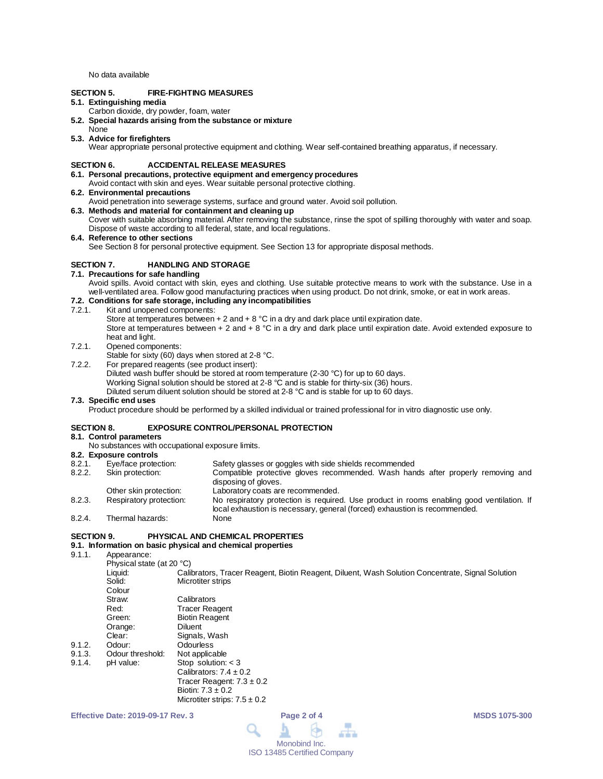No data available

# **SECTION 5. FIRE-FIGHTING MEASURES**

# **5.1. Extinguishing media**

- Carbon dioxide, dry powder, foam, water
- **5.2. Special hazards arising from the substance or mixture**
- None **5.3. Advice for firefighters**

Wear appropriate personal protective equipment and clothing. Wear self-contained breathing apparatus, if necessary.

#### **SECTION 6. ACCIDENTAL RELEASE MEASURES**

- **6.1. Personal precautions, protective equipment and emergency procedures** Avoid contact with skin and eyes. Wear suitable personal protective clothing.
- **6.2. Environmental precautions**
- Avoid penetration into sewerage systems, surface and ground water. Avoid soil pollution.
- **6.3. Methods and material for containment and cleaning up**
- Cover with suitable absorbing material. After removing the substance, rinse the spot of spilling thoroughly with water and soap. Dispose of waste according to all federal, state, and local regulations.

#### **6.4. Reference to other sections**

See Section 8 for personal protective equipment. See Section 13 for appropriate disposal methods.

# **SECTION 7. HANDLING AND STORAGE**

# **7.1. Precautions for safe handling**

Avoid spills. Avoid contact with skin, eyes and clothing. Use suitable protective means to work with the substance. Use in a well-ventilated area. Follow good manufacturing practices when using product. Do not drink, smoke, or eat in work areas.

# **7.2. Conditions for safe storage, including any incompatibilities**

Kit and unopened components:

Store at temperatures between  $+ 2$  and  $+ 8$  °C in a dry and dark place until expiration date. Store at temperatures between + 2 and + 8 °C in a dry and dark place until expiration date. Avoid extended exposure to heat and light.

- 7.2.1. Opened components:
	- Stable for sixty (60) days when stored at 2-8 °C.
- 7.2.2. For prepared reagents (see product insert):
	- Diluted wash buffer should be stored at room temperature (2-30 °C) for up to 60 days.

Working Signal solution should be stored at 2-8 °C and is stable for thirty-six (36) hours.

Diluted serum diluent solution should be stored at 2-8 °C and is stable for up to 60 days.

#### **7.3. Specific end uses**

Product procedure should be performed by a skilled individual or trained professional for in vitro diagnostic use only.

## **SECTION 8. EXPOSURE CONTROL/PERSONAL PROTECTION**

# **8.1. Control parameters**

No substances with occupational exposure limits.

# **8.2. Exposure controls**

| 8.2.1. | Eye/face protection:    | Safety glasses or goggles with side shields recommended                                                                                                                 |
|--------|-------------------------|-------------------------------------------------------------------------------------------------------------------------------------------------------------------------|
| 8.2.2. | Skin protection:        | Compatible protective gloves recommended. Wash hands after properly removing and<br>disposing of gloves.                                                                |
|        | Other skin protection:  | Laboratory coats are recommended.                                                                                                                                       |
| 8.2.3. | Respiratory protection: | No respiratory protection is required. Use product in rooms enabling good ventilation. If<br>local exhaustion is necessary, general (forced) exhaustion is recommended. |
| 8.2.4. | Thermal hazards:        | None                                                                                                                                                                    |

## **SECTION 9. PHYSICAL AND CHEMICAL PROPERTIES**

# **9.1. Information on basic physical and chemical properties**

9.1.1. Appearance:

 $9.1.3.$  9.1.4.

|        | Physical state (at 20 °C) |                                                                                                  |
|--------|---------------------------|--------------------------------------------------------------------------------------------------|
|        | Liquid:                   | Calibrators, Tracer Reagent, Biotin Reagent, Diluent, Wash Solution Concentrate, Signal Solution |
|        | Solid:                    | Microtiter strips                                                                                |
|        | Colour                    |                                                                                                  |
|        | Straw:                    | Calibrators                                                                                      |
|        | Red:                      | Tracer Reagent                                                                                   |
|        | Green:                    | <b>Biotin Reagent</b>                                                                            |
|        | Orange:                   | Diluent                                                                                          |
|        | Clear:                    | Signals, Wash                                                                                    |
| 9.1.2. | Odour:                    | Odourless                                                                                        |
| 9.1.3. | Odour threshold:          | Not applicable                                                                                   |
| 9.1.4. | pH value:                 | Stop solution: $<$ 3                                                                             |
|        |                           | Calibrators: $7.4 \pm 0.2$                                                                       |
|        |                           | Tracer Reagent: $7.3 \pm 0.2$                                                                    |
|        |                           | Biotin: $7.3 \pm 0.2$                                                                            |
|        |                           | Microtiter strips: $7.5 \pm 0.2$                                                                 |

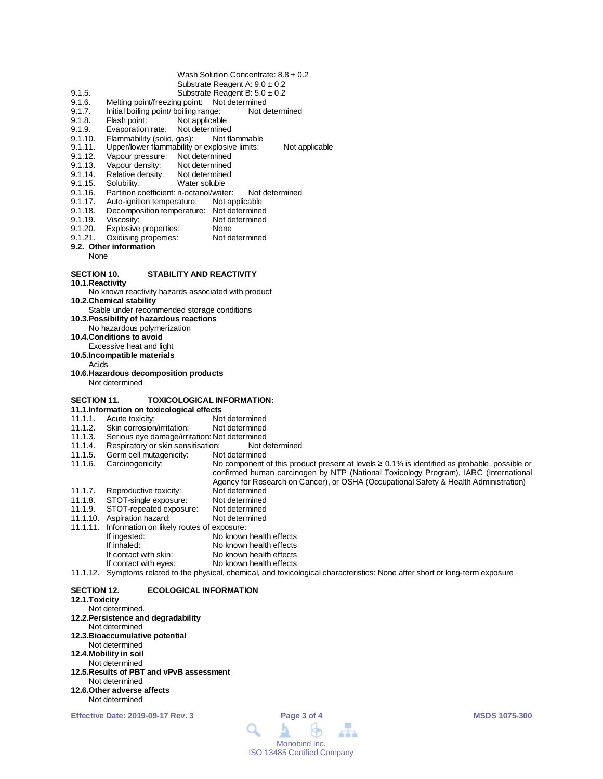- Wash Solution Concentrate:  $8.8 \pm 0.2$ 
	- Substrate Reagent A: 9.0 ± 0.2
- 9.1.5. Substrate Reagent B:  $5.0 \pm 0.2$ <br>9.1.6. Melting point/freezing point: Not determined Melting point/freezing point: Not determined
- 
- 9.1.7. Initial boiling point/ boiling range: Not determined<br>9.1.8. Flash point: Not applicable
- 9.1.8. Flash point: Not applicable<br>9.1.9. Evaporation rate: Not determine
- 9.1.9. Evaporation rate: Not determined<br>9.1.10. Flammability (solid. gas): Not flammable
- 9.1.10. Flammability (solid, gas):<br>9.1.11. Upper/lower flammability 9.1.11. Upper/lower flammability or explosive limits: Not applicable<br>9.1.12. Vapour pressure: Not determined
- 
- 9.1.12. Vapour pressure: Not determined<br>9.1.13. Vapour density: Not determined
- 9.1.13. Vapour density: Not determined<br>9.1.14. Relative density: Not determined
- 9.1.14. Relative density:<br>9.1.15. Solubility:
- 9.1.15. Solubility: Water soluble<br>9.1.16. Partition coefficient: n-octanol/wate 9.1.16. Partition coefficient: n-octanol/water: Not determined<br>9.1.17. Auto-ignition temperature: Not applicable
- 
- 9.1.17. Auto-ignition temperature:<br>9.1.18. Decomposition temperature 9.1.18. Decomposition temperature: Not determined<br>9.1.19. Viscosity: Not determined
- 9.1.19. Viscosity: Not determined<br>9.1.20. Explosive properties: None
- 
- 9.1.20. Explosive properties: None<br>9.1.21. Oxidising properties: Not determined Oxidising properties:
- **9.2. Other information**
- None

# **SECTION 10. STABILITY AND REACTIVITY**

**10.1.Reactivity**

No known reactivity hazards associated with product

**10.2.Chemical stability**

Stable under recommended storage conditions

**10.3.Possibility of hazardous reactions**

No hazardous polymerization

**10.4.Conditions to avoid**

Excessive heat and light

**10.5.Incompatible materials**

- Acids
- **10.6.Hazardous decomposition products** Not determined

# **SECTION 11. TOXICOLOGICAL INFORMATION:**

- **11.1.Information on toxicological effects**
- 11.1.1. Acute toxicity: Not determined<br>11.1.2. Skin corrosion/irritation: Not determined
- 11.1.2. Skin corrosion/irritation:<br>11.1.3. Serious eye damage/irrit
- Serious eye damage/irritation: Not determined<br>Respiratory or skin sensitisation: Not determined
- 11.1.4. Respiratory or skin sensitisation: Not determined
- Germ cell mutagenicity:
- 11.1.6. Carcinogenicity: No component of this product present at levels ≥ 0.1% is identified as probable, possible or confirmed human carcinogen by NTP (National Toxicology Program), IARC (International Agency for Research on Cancer), or OSHA (Occupational Safety & Health Administration) 11.1.7. Reproductive toxicity: Not determined<br>11.1.8. STOT-single exposure: Not determined
- 
- 11.1.8. STOT-single exposure: Not determined<br>11.1.9. STOT-repeated exposure: Not determined STOT-repeated exposure: Not determined<br>Aspiration hazard: Not determined
- 11.1.10. Aspiration hazard:
- 11.1.11. Information on likely routes of exposure:
- If ingested: No known health effects<br>
If inhaled: No known health effects If inhaled: No known health effects<br>If contact with skin: No known health effects If contact with skin: No known health effects<br>If contact with eyes: No known health effects
	- No known health effects
- 11.1.12. Symptoms related to the physical, chemical, and toxicological characteristics: None after short or long-term exposure

## **SECTION 12. ECOLOGICAL INFORMATION**

# **12.1.Toxicity**

- Not determined. **12.2.Persistence and degradability** Not determined **12.3.Bioaccumulative potential** Not determined **12.4.Mobility in soil** Not determined **12.5.Results of PBT and vPvB assessment** Not determined **12.6.Other adverse affects**
- Not determined

**Effective Date: 2019-09-17 Rev. 3 Page 3 of 4 MSDS 1075-300**